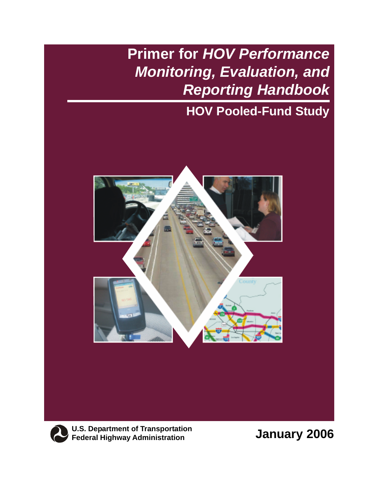# **Primer for** *HOV Performance Monitoring, Evaluation, and Reporting Handbook*

### **HOV Pooled-Fund Study**





**U.S. Department of Transportation Federal Highway Administration**

**January 2006**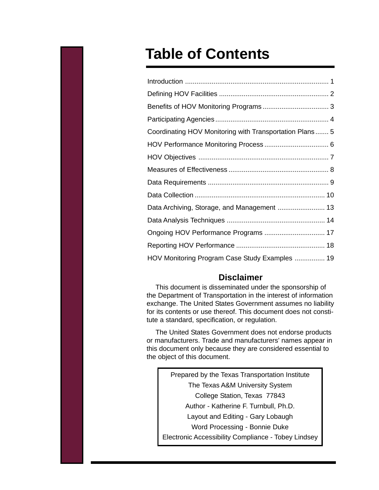## **Table of Contents**

| Coordinating HOV Monitoring with Transportation Plans 5 |  |
|---------------------------------------------------------|--|
|                                                         |  |
|                                                         |  |
|                                                         |  |
|                                                         |  |
|                                                         |  |
|                                                         |  |
|                                                         |  |
| Ongoing HOV Performance Programs  17                    |  |
|                                                         |  |
| HOV Monitoring Program Case Study Examples  19          |  |

#### **Disclaimer**

This document is disseminated under the sponsorship of the Department of Transportation in the interest of information exchange. The United States Government assumes no liability for its contents or use thereof. This document does not constitute a standard, specification, or regulation.

The United States Government does not endorse products or manufacturers. Trade and manufacturers' names appear in this document only because they are considered essential to the object of this document.

Prepared by the Texas Transportation Institute The Texas A&M University System College Station, Texas 77843 Author - Katherine F. Turnbull, Ph.D. Layout and Editing - Gary Lobaugh Word Processing - Bonnie Duke Electronic Accessibility Compliance - Tobey Lindsey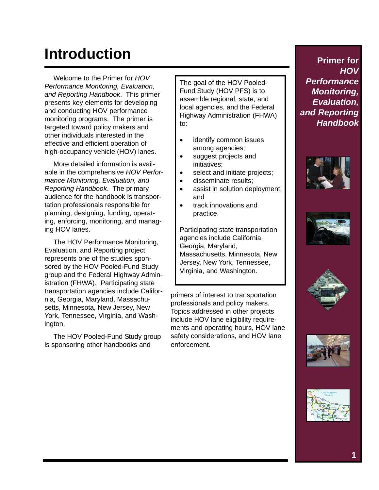# **Introduction**

Welcome to the Primer for *HOV Performance Monitoring, Evaluation, and Reporting Handbook*. This primer presents key elements for developing and conducting HOV performance monitoring programs. The primer is targeted toward policy makers and other individuals interested in the effective and efficient operation of high-occupancy vehicle (HOV) lanes.

More detailed information is available in the comprehensive *HOV Performance Monitoring, Evaluation, and Reporting Handbook*. The primary audience for the handbook is transportation professionals responsible for planning, designing, funding, operating, enforcing, monitoring, and managing HOV lanes.

The HOV Performance Monitoring, Evaluation, and Reporting project represents one of the studies sponsored by the HOV Pooled-Fund Study group and the Federal Highway Administration (FHWA). Participating state transportation agencies include California, Georgia, Maryland, Massachusetts, Minnesota, New Jersey, New York, Tennessee, Virginia, and Washington.

The HOV Pooled-Fund Study group is sponsoring other handbooks and

The goal of the HOV Pooled-Fund Study (HOV PFS) is to assemble regional, state, and local agencies, and the Federal Highway Administration (FHWA) to:

- identify common issues among agencies;
- suggest projects and initiatives;
- select and initiate projects;
- disseminate results;
- assist in solution deployment; and
- track innovations and practice.

Participating state transportation agencies include California, Georgia, Maryland, Massachusetts, Minnesota, New Jersey, New York, Tennessee, Virginia, and Washington.

primers of interest to transportation professionals and policy makers. Topics addressed in other projects include HOV lane eligibility requirements and operating hours, HOV lane safety considerations, and HOV lane enforcement.









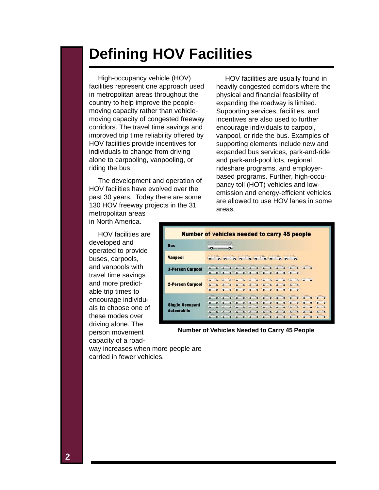### **Defining HOV Facilities**

High-occupancy vehicle (HOV) facilities represent one approach used in metropolitan areas throughout the country to help improve the peoplemoving capacity rather than vehiclemoving capacity of congested freeway corridors. The travel time savings and improved trip time reliability offered by HOV facilities provide incentives for individuals to change from driving alone to carpooling, vanpooling, or riding the bus.

The development and operation of HOV facilities have evolved over the past 30 years. Today there are some 130 HOV freeway projects in the 31 metropolitan areas in North America.

HOV facilities are usually found in heavily congested corridors where the physical and financial feasibility of expanding the roadway is limited. Supporting services, facilities, and incentives are also used to further encourage individuals to carpool, vanpool, or ride the bus. Examples of supporting elements include new and expanded bus services, park-and-ride and park-and-pool lots, regional rideshare programs, and employerbased programs. Further, high-occupancy toll (HOT) vehicles and lowemission and energy-efficient vehicles are allowed to use HOV lanes in some areas.

HOV facilities are developed and operated to provide buses, carpools, and vanpools with travel time savings and more predictable trip times to encourage individuals to choose one of these modes over driving alone. The person movement capacity of a road-



**Number of Vehicles Needed to Carry 45 People**

way increases when more people are carried in fewer vehicles.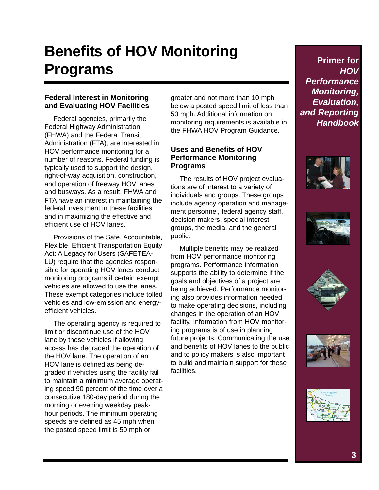# **Benefits of HOV Monitoring Programs**

#### **Federal Interest in Monitoring and Evaluating HOV Facilities**

Federal agencies, primarily the Federal Highway Administration (FHWA) and the Federal Transit Administration (FTA), are interested in HOV performance monitoring for a number of reasons. Federal funding is typically used to support the design, right-of-way acquisition, construction, and operation of freeway HOV lanes and busways. As a result, FHWA and FTA have an interest in maintaining the federal investment in these facilities and in maximizing the effective and efficient use of HOV lanes.

Provisions of the Safe, Accountable, Flexible, Efficient Transportation Equity Act: A Legacy for Users (SAFETEA-LU) require that the agencies responsible for operating HOV lanes conduct monitoring programs if certain exempt vehicles are allowed to use the lanes. These exempt categories include tolled vehicles and low-emission and energyefficient vehicles.

The operating agency is required to limit or discontinue use of the HOV lane by these vehicles if allowing access has degraded the operation of the HOV lane. The operation of an HOV lane is defined as being degraded if vehicles using the facility fail to maintain a minimum average operating speed 90 percent of the time over a consecutive 180-day period during the morning or evening weekday peakhour periods. The minimum operating speeds are defined as 45 mph when the posted speed limit is 50 mph or

greater and not more than 10 mph below a posted speed limit of less than 50 mph. Additional information on monitoring requirements is available in the FHWA HOV Program Guidance.

#### **Uses and Benefits of HOV Performance Monitoring Programs**

The results of HOV project evaluations are of interest to a variety of individuals and groups. These groups include agency operation and management personnel, federal agency staff, decision makers, special interest groups, the media, and the general public.

Multiple benefits may be realized from HOV performance monitoring programs. Performance information supports the ability to determine if the goals and objectives of a project are being achieved. Performance monitoring also provides information needed to make operating decisions, including changes in the operation of an HOV facility. Information from HOV monitoring programs is of use in planning future projects. Communicating the use and benefits of HOV lanes to the public and to policy makers is also important to build and maintain support for these facilities.









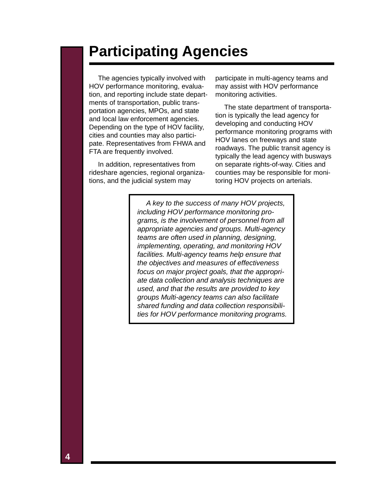### **Participating Agencies**

The agencies typically involved with HOV performance monitoring, evaluation, and reporting include state departments of transportation, public transportation agencies, MPOs, and state and local law enforcement agencies. Depending on the type of HOV facility, cities and counties may also participate. Representatives from FHWA and FTA are frequently involved.

In addition, representatives from rideshare agencies, regional organizations, and the judicial system may

participate in multi-agency teams and may assist with HOV performance monitoring activities.

The state department of transportation is typically the lead agency for developing and conducting HOV performance monitoring programs with HOV lanes on freeways and state roadways. The public transit agency is typically the lead agency with busways on separate rights-of-way. Cities and counties may be responsible for monitoring HOV projects on arterials.

*A key to the success of many HOV projects, including HOV performance monitoring programs, is the involvement of personnel from all appropriate agencies and groups. Multi-agency teams are often used in planning, designing, implementing, operating, and monitoring HOV facilities. Multi-agency teams help ensure that the objectives and measures of effectiveness focus on major project goals, that the appropriate data collection and analysis techniques are used, and that the results are provided to key groups Multi-agency teams can also facilitate shared funding and data collection responsibilities for HOV performance monitoring programs.*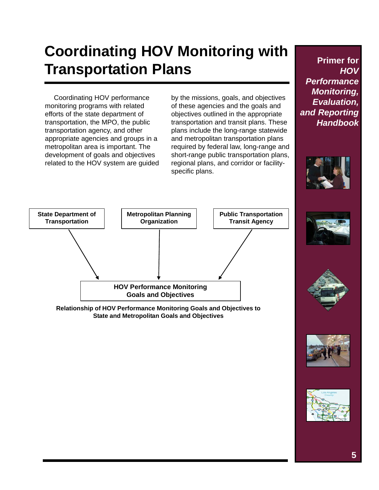# **Coordinating HOV Monitoring with Transportation Plans**

Coordinating HOV performance monitoring programs with related efforts of the state department of transportation, the MPO, the public transportation agency, and other appropriate agencies and groups in a metropolitan area is important. The development of goals and objectives related to the HOV system are guided by the missions, goals, and objectives of these agencies and the goals and objectives outlined in the appropriate transportation and transit plans. These plans include the long-range statewide and metropolitan transportation plans required by federal law, long-range and short-range public transportation plans, regional plans, and corridor or facilityspecific plans.





**Relationship of HOV Performance Monitoring Goals and Objectives to State and Metropolitan Goals and Objectives**

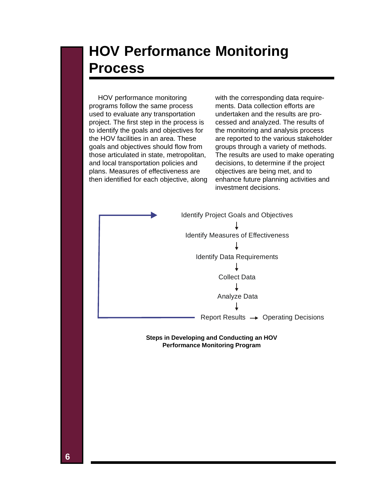### **HOV Performance Monitoring Process**

HOV performance monitoring programs follow the same process used to evaluate any transportation project. The first step in the process is to identify the goals and objectives for the HOV facilities in an area. These goals and objectives should flow from those articulated in state, metropolitan, and local transportation policies and plans. Measures of effectiveness are then identified for each objective, along

with the corresponding data requirements. Data collection efforts are undertaken and the results are processed and analyzed. The results of the monitoring and analysis process are reported to the various stakeholder groups through a variety of methods. The results are used to make operating decisions, to determine if the project objectives are being met, and to enhance future planning activities and investment decisions.

Identify Project Goals and Objectives Identify Measures of Effectiveness Identify Data Requirements Collect Data T Analyze Data T Report Results  $\rightarrow$  Operating Decisions

> **Steps in Developing and Conducting an HOV Performance Monitoring Program**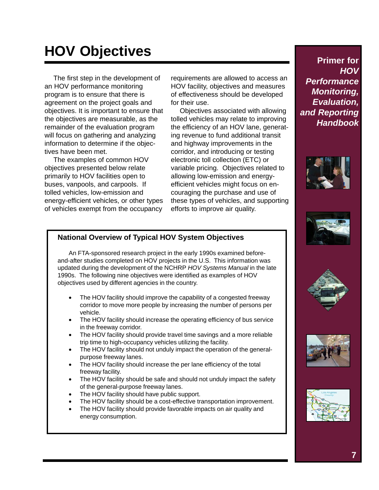# **HOV Objectives**

The first step in the development of an HOV performance monitoring program is to ensure that there is agreement on the project goals and objectives. It is important to ensure that the objectives are measurable, as the remainder of the evaluation program will focus on gathering and analyzing information to determine if the objectives have been met.

The examples of common HOV objectives presented below relate primarily to HOV facilities open to buses, vanpools, and carpools. If tolled vehicles, low-emission and energy-efficient vehicles, or other types of vehicles exempt from the occupancy

requirements are allowed to access an HOV facility, objectives and measures of effectiveness should be developed for their use.

Objectives associated with allowing tolled vehicles may relate to improving the efficiency of an HOV lane, generating revenue to fund additional transit and highway improvements in the corridor, and introducing or testing electronic toll collection (ETC) or variable pricing. Objectives related to allowing low-emission and energyefficient vehicles might focus on encouraging the purchase and use of these types of vehicles, and supporting efforts to improve air quality.

**Primer for** *HOV Performance Monitoring, Evaluation, and Reporting Handbook*









#### **National Overview of Typical HOV System Objectives**

An FTA-sponsored research project in the early 1990s examined beforeand-after studies completed on HOV projects in the U.S. This information was updated during the development of the NCHRP *HOV Systems Manual* in the late 1990s. The following nine objectives were identified as examples of HOV objectives used by different agencies in the country.

- The HOV facility should improve the capability of a congested freeway corridor to move more people by increasing the number of persons per vehicle.
- The HOV facility should increase the operating efficiency of bus service in the freeway corridor.
- The HOV facility should provide travel time savings and a more reliable trip time to high-occupancy vehicles utilizing the facility.
- The HOV facility should not unduly impact the operation of the generalpurpose freeway lanes.
- The HOV facility should increase the per lane efficiency of the total freeway facility.
- The HOV facility should be safe and should not unduly impact the safety of the general-purpose freeway lanes.
- The HOV facility should have public support.
- The HOV facility should be a cost-effective transportation improvement.
- The HOV facility should provide favorable impacts on air quality and energy consumption.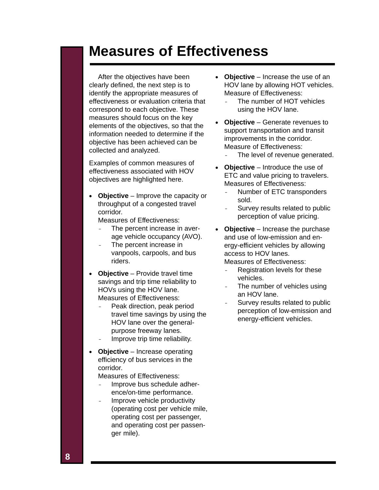### **Measures of Effectiveness**

After the objectives have been clearly defined, the next step is to identify the appropriate measures of effectiveness or evaluation criteria that correspond to each objective. These measures should focus on the key elements of the objectives, so that the information needed to determine if the objective has been achieved can be collected and analyzed.

Examples of common measures of effectiveness associated with HOV objectives are highlighted here.

• **Objective** – Improve the capacity or throughput of a congested travel corridor.

Measures of Effectiveness:

- The percent increase in average vehicle occupancy (AVO).
- The percent increase in vanpools, carpools, and bus riders.
- **Objective** Provide travel time savings and trip time reliability to HOVs using the HOV lane. Measures of Effectiveness:
	- Peak direction, peak period travel time savings by using the HOV lane over the generalpurpose freeway lanes.
	- Improve trip time reliability.
- **Objective** Increase operating efficiency of bus services in the corridor.

Measures of Effectiveness:

- Improve bus schedule adherence/on-time performance.
- Improve vehicle productivity (operating cost per vehicle mile, operating cost per passenger, and operating cost per passenger mile).
- **Objective** Increase the use of an HOV lane by allowing HOT vehicles. Measure of Effectiveness:
	- The number of HOT vehicles using the HOV lane.
- **Objective** Generate revenues to support transportation and transit improvements in the corridor. Measure of Effectiveness:
	- The level of revenue generated.
- **Objective** Introduce the use of ETC and value pricing to travelers. Measures of Effectiveness:
	- Number of ETC transponders sold.
	- Survey results related to public perception of value pricing.
- **Objective** Increase the purchase and use of low-emission and energy-efficient vehicles by allowing access to HOV lanes. Measures of Effectiveness:
	- Registration levels for these vehicles.
	- The number of vehicles using an HOV lane.
	- Survey results related to public perception of low-emission and energy-efficient vehicles.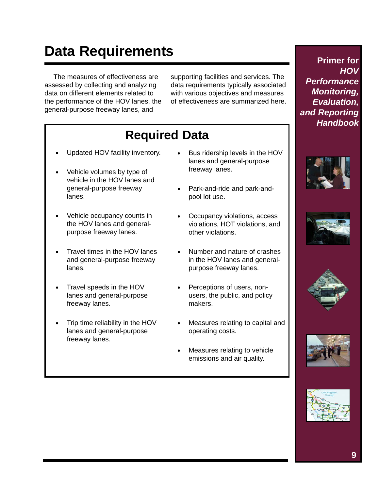# **Data Requirements**

The measures of effectiveness are assessed by collecting and analyzing data on different elements related to the performance of the HOV lanes, the general-purpose freeway lanes, and

supporting facilities and services. The data requirements typically associated with various objectives and measures of effectiveness are summarized here.

### **Required Data**

- Updated HOV facility inventory.
- Vehicle volumes by type of vehicle in the HOV lanes and general-purpose freeway lanes.
- Vehicle occupancy counts in the HOV lanes and generalpurpose freeway lanes.
- Travel times in the HOV lanes and general-purpose freeway lanes.
- Travel speeds in the HOV lanes and general-purpose freeway lanes.
- Trip time reliability in the HOV lanes and general-purpose freeway lanes.
- Bus ridership levels in the HOV lanes and general-purpose freeway lanes.
- Park-and-ride and park-andpool lot use.
- Occupancy violations, access violations, HOT violations, and other violations.
- Number and nature of crashes in the HOV lanes and generalpurpose freeway lanes.
- Perceptions of users, nonusers, the public, and policy makers.
- Measures relating to capital and operating costs.
- Measures relating to vehicle emissions and air quality.









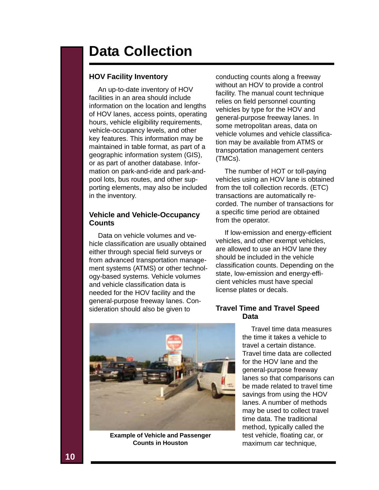### **Data Collection**

#### **HOV Facility Inventory**

An up-to-date inventory of HOV facilities in an area should include information on the location and lengths of HOV lanes, access points, operating hours, vehicle eligibility requirements, vehicle-occupancy levels, and other key features. This information may be maintained in table format, as part of a geographic information system (GIS), or as part of another database. Information on park-and-ride and park-andpool lots, bus routes, and other supporting elements, may also be included in the inventory.

#### **Vehicle and Vehicle-Occupancy Counts**

Data on vehicle volumes and vehicle classification are usually obtained either through special field surveys or from advanced transportation management systems (ATMS) or other technology-based systems. Vehicle volumes and vehicle classification data is needed for the HOV facility and the general-purpose freeway lanes. Consideration should also be given to

conducting counts along a freeway without an HOV to provide a control facility. The manual count technique relies on field personnel counting vehicles by type for the HOV and general-purpose freeway lanes. In some metropolitan areas, data on vehicle volumes and vehicle classification may be available from ATMS or transportation management centers (TMCs).

The number of HOT or toll-paying vehicles using an HOV lane is obtained from the toll collection records. (ETC) transactions are automatically recorded. The number of transactions for a specific time period are obtained from the operator.

If low-emission and energy-efficient vehicles, and other exempt vehicles, are allowed to use an HOV lane they should be included in the vehicle classification counts. Depending on the state, low-emission and energy-efficient vehicles must have special license plates or decals.



**Example of Vehicle and Passenger Counts in Houston**

#### **Travel Time and Travel Speed Data**

Travel time data measures the time it takes a vehicle to travel a certain distance. Travel time data are collected for the HOV lane and the general-purpose freeway lanes so that comparisons can be made related to travel time savings from using the HOV lanes. A number of methods may be used to collect travel time data. The traditional method, typically called the test vehicle, floating car, or maximum car technique,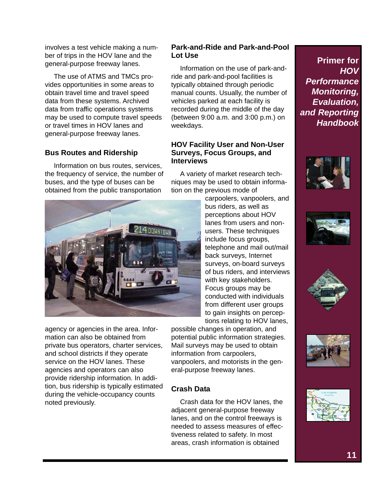involves a test vehicle making a number of trips in the HOV lane and the general-purpose freeway lanes.

The use of ATMS and TMCs provides opportunities in some areas to obtain travel time and travel speed data from these systems. Archived data from traffic operations systems may be used to compute travel speeds or travel times in HOV lanes and general-purpose freeway lanes.

#### **Bus Routes and Ridership**

Information on bus routes, services, the frequency of service, the number of buses, and the type of buses can be obtained from the public transportation



agency or agencies in the area. Information can also be obtained from private bus operators, charter services, and school districts if they operate service on the HOV lanes. These agencies and operators can also provide ridership information. In addition, bus ridership is typically estimated during the vehicle-occupancy counts noted previously.

#### **Park-and-Ride and Park-and-Pool Lot Use**

Information on the use of park-andride and park-and-pool facilities is typically obtained through periodic manual counts. Usually, the number of vehicles parked at each facility is recorded during the middle of the day (between 9:00 a.m. and 3:00 p.m.) on weekdays.

#### **HOV Facility User and Non-User Surveys, Focus Groups, and Interviews**

A variety of market research techniques may be used to obtain information on the previous mode of

carpoolers, vanpoolers, and bus riders, as well as perceptions about HOV lanes from users and nonusers. These techniques include focus groups, telephone and mail out/mail back surveys, Internet surveys, on-board surveys of bus riders, and interviews with key stakeholders. Focus groups may be conducted with individuals from different user groups to gain insights on perceptions relating to HOV lanes,

possible changes in operation, and potential public information strategies. Mail surveys may be used to obtain information from carpoolers, vanpoolers, and motorists in the general-purpose freeway lanes.

#### **Crash Data**

Crash data for the HOV lanes, the adjacent general-purpose freeway lanes, and on the control freeways is needed to assess measures of effectiveness related to safety. In most areas, crash information is obtained









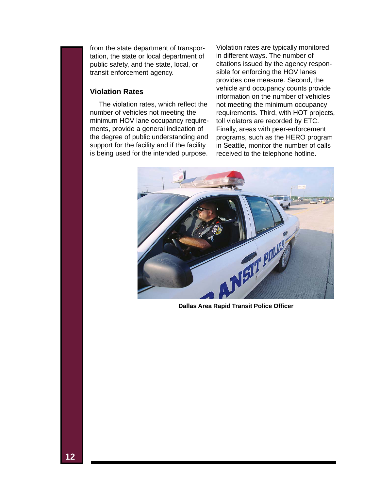from the state department of transportation, the state or local department of public safety, and the state, local, or transit enforcement agency.

#### **Violation Rates**

The violation rates, which reflect the number of vehicles not meeting the minimum HOV lane occupancy requirements, provide a general indication of the degree of public understanding and support for the facility and if the facility is being used for the intended purpose.

Violation rates are typically monitored in different ways. The number of citations issued by the agency responsible for enforcing the HOV lanes provides one measure. Second, the vehicle and occupancy counts provide information on the number of vehicles not meeting the minimum occupancy requirements. Third, with HOT projects, toll violators are recorded by ETC. Finally, areas with peer-enforcement programs, such as the HERO program in Seattle, monitor the number of calls received to the telephone hotline.



**Dallas Area Rapid Transit Police Officer**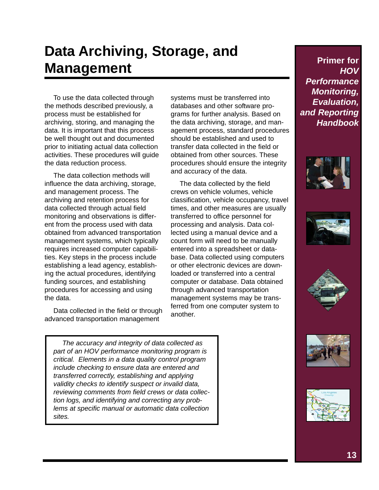## **Data Archiving, Storage, and Management**

To use the data collected through the methods described previously, a process must be established for archiving, storing, and managing the data. It is important that this process be well thought out and documented prior to initiating actual data collection activities. These procedures will guide the data reduction process.

The data collection methods will influence the data archiving, storage, and management process. The archiving and retention process for data collected through actual field monitoring and observations is different from the process used with data obtained from advanced transportation management systems, which typically requires increased computer capabilities. Key steps in the process include establishing a lead agency, establishing the actual procedures, identifying funding sources, and establishing procedures for accessing and using the data.

Data collected in the field or through advanced transportation management

*The accuracy and integrity of data collected as part of an HOV performance monitoring program is critical. Elements in a data quality control program include checking to ensure data are entered and transferred correctly, establishing and applying validity checks to identify suspect or invalid data, reviewing comments from field crews or data collection logs, and identifying and correcting any problems at specific manual or automatic data collection sites.*

systems must be transferred into databases and other software programs for further analysis. Based on the data archiving, storage, and management process, standard procedures should be established and used to transfer data collected in the field or obtained from other sources. These procedures should ensure the integrity and accuracy of the data.

The data collected by the field crews on vehicle volumes, vehicle classification, vehicle occupancy, travel times, and other measures are usually transferred to office personnel for processing and analysis. Data collected using a manual device and a count form will need to be manually entered into a spreadsheet or database. Data collected using computers or other electronic devices are downloaded or transferred into a central computer or database. Data obtained through advanced transportation management systems may be transferred from one computer system to another.









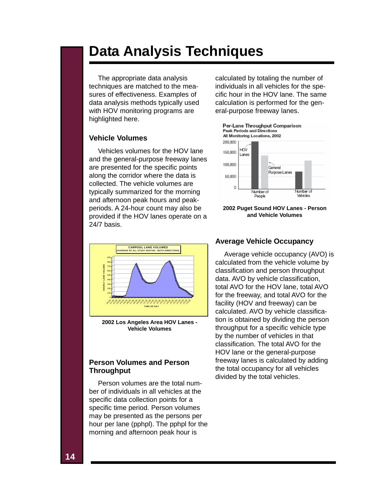### **Data Analysis Techniques**

The appropriate data analysis techniques are matched to the measures of effectiveness. Examples of data analysis methods typically used with HOV monitoring programs are highlighted here.

#### **Vehicle Volumes**

Vehicles volumes for the HOV lane and the general-purpose freeway lanes are presented for the specific points along the corridor where the data is collected. The vehicle volumes are typically summarized for the morning and afternoon peak hours and peakperiods. A 24-hour count may also be provided if the HOV lanes operate on a 24/7 basis.



**2002 Los Angeles Area HOV Lanes - Vehicle Volumes**

#### **Person Volumes and Person Throughput**

Person volumes are the total number of individuals in all vehicles at the specific data collection points for a specific time period. Person volumes may be presented as the persons per hour per lane (pphpl). The pphpl for the morning and afternoon peak hour is

calculated by totaling the number of individuals in all vehicles for the specific hour in the HOV lane. The same calculation is performed for the general-purpose freeway lanes.



**2002 Puget Sound HOV Lanes - Person and Vehicle Volumes**

#### **Average Vehicle Occupancy**

Average vehicle occupancy (AVO) is calculated from the vehicle volume by classification and person throughput data. AVO by vehicle classification, total AVO for the HOV lane, total AVO for the freeway, and total AVO for the facility (HOV and freeway) can be calculated. AVO by vehicle classification is obtained by dividing the person throughput for a specific vehicle type by the number of vehicles in that classification. The total AVO for the HOV lane or the general-purpose freeway lanes is calculated by adding the total occupancy for all vehicles divided by the total vehicles.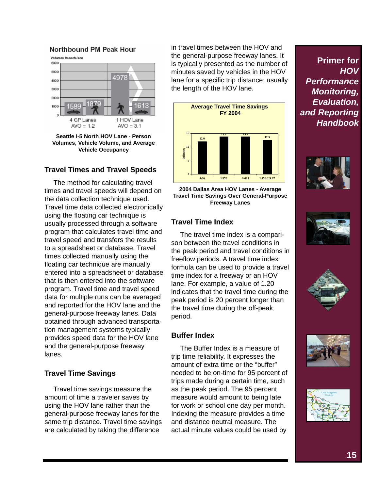#### Northbound PM Peak Hour



**Seattle I-5 North HOV Lane - Person Volumes, Vehicle Volume, and Average Vehicle Occupancy**

#### **Travel Times and Travel Speeds**

The method for calculating travel times and travel speeds will depend on the data collection technique used. Travel time data collected electronically using the floating car technique is usually processed through a software program that calculates travel time and travel speed and transfers the results to a spreadsheet or database. Travel times collected manually using the floating car technique are manually entered into a spreadsheet or database that is then entered into the software program. Travel time and travel speed data for multiple runs can be averaged and reported for the HOV lane and the general-purpose freeway lanes. Data obtained through advanced transportation management systems typically provides speed data for the HOV lane and the general-purpose freeway lanes.

#### **Travel Time Savings**

Travel time savings measure the amount of time a traveler saves by using the HOV lane rather than the general-purpose freeway lanes for the same trip distance. Travel time savings are calculated by taking the difference

in travel times between the HOV and the general-purpose freeway lanes. It is typically presented as the number of minutes saved by vehicles in the HOV lane for a specific trip distance, usually the length of the HOV lane.



**2004 Dallas Area HOV Lanes - Average Travel Time Savings Over General-Purpose Freeway Lanes**

#### **Travel Time Index**

The travel time index is a comparison between the travel conditions in the peak period and travel conditions in freeflow periods. A travel time index formula can be used to provide a travel time index for a freeway or an HOV lane. For example, a value of 1.20 indicates that the travel time during the peak period is 20 percent longer than the travel time during the off-peak period.

#### **Buffer Index**

The Buffer Index is a measure of trip time reliability. It expresses the amount of extra time or the "buffer" needed to be on-time for 95 percent of trips made during a certain time, such as the peak period. The 95 percent measure would amount to being late for work or school one day per month. Indexing the measure provides a time and distance neutral measure. The actual minute values could be used by









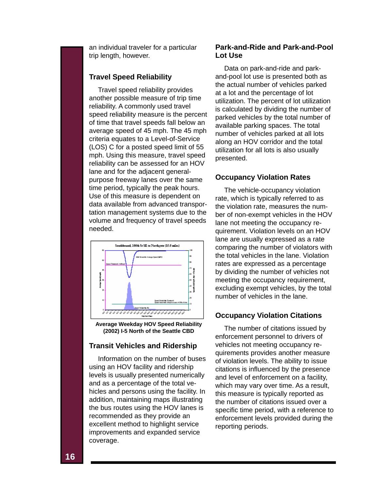an individual traveler for a particular trip length, however.

#### **Travel Speed Reliability**

Travel speed reliability provides another possible measure of trip time reliability. A commonly used travel speed reliability measure is the percent of time that travel speeds fall below an average speed of 45 mph. The 45 mph criteria equates to a Level-of-Service (LOS) C for a posted speed limit of 55 mph. Using this measure, travel speed reliability can be assessed for an HOV lane and for the adiacent generalpurpose freeway lanes over the same time period, typically the peak hours. Use of this measure is dependent on data available from advanced transportation management systems due to the volume and frequency of travel speeds needed.



**Average Weekday HOV Speed Reliability (2002) I-5 North of the Seattle CBD**

#### **Transit Vehicles and Ridership**

Information on the number of buses using an HOV facility and ridership levels is usually presented numerically and as a percentage of the total vehicles and persons using the facility. In addition, maintaining maps illustrating the bus routes using the HOV lanes is recommended as they provide an excellent method to highlight service improvements and expanded service coverage.

#### **Park-and-Ride and Park-and-Pool Lot Use**

Data on park-and-ride and parkand-pool lot use is presented both as the actual number of vehicles parked at a lot and the percentage of lot utilization. The percent of lot utilization is calculated by dividing the number of parked vehicles by the total number of available parking spaces. The total number of vehicles parked at all lots along an HOV corridor and the total utilization for all lots is also usually presented.

#### **Occupancy Violation Rates**

The vehicle-occupancy violation rate, which is typically referred to as the violation rate, measures the number of non-exempt vehicles in the HOV lane not meeting the occupancy requirement. Violation levels on an HOV lane are usually expressed as a rate comparing the number of violators with the total vehicles in the lane. Violation rates are expressed as a percentage by dividing the number of vehicles not meeting the occupancy requirement, excluding exempt vehicles, by the total number of vehicles in the lane.

#### **Occupancy Violation Citations**

The number of citations issued by enforcement personnel to drivers of vehicles not meeting occupancy requirements provides another measure of violation levels. The ability to issue citations is influenced by the presence and level of enforcement on a facility, which may vary over time. As a result, this measure is typically reported as the number of citations issued over a specific time period, with a reference to enforcement levels provided during the reporting periods.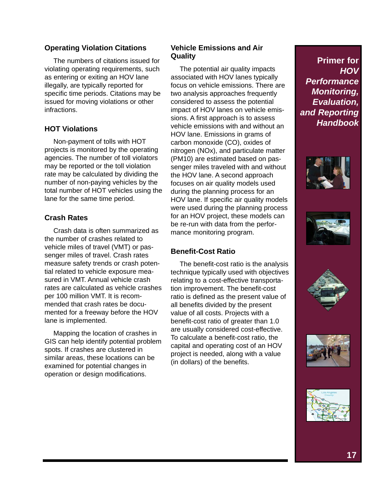#### **Operating Violation Citations**

The numbers of citations issued for violating operating requirements, such as entering or exiting an HOV lane illegally, are typically reported for specific time periods. Citations may be issued for moving violations or other infractions.

#### **HOT Violations**

Non-payment of tolls with HOT projects is monitored by the operating agencies. The number of toll violators may be reported or the toll violation rate may be calculated by dividing the number of non-paying vehicles by the total number of HOT vehicles using the lane for the same time period.

#### **Crash Rates**

Crash data is often summarized as the number of crashes related to vehicle miles of travel (VMT) or passenger miles of travel. Crash rates measure safety trends or crash potential related to vehicle exposure measured in VMT. Annual vehicle crash rates are calculated as vehicle crashes per 100 million VMT. It is recommended that crash rates be documented for a freeway before the HOV lane is implemented.

Mapping the location of crashes in GIS can help identify potential problem spots. If crashes are clustered in similar areas, these locations can be examined for potential changes in operation or design modifications.

#### **Vehicle Emissions and Air Quality**

The potential air quality impacts associated with HOV lanes typically focus on vehicle emissions. There are two analysis approaches frequently considered to assess the potential impact of HOV lanes on vehicle emissions. A first approach is to assess vehicle emissions with and without an HOV lane. Emissions in grams of carbon monoxide (CO), oxides of nitrogen (NOx), and particulate matter (PM10) are estimated based on passenger miles traveled with and without the HOV lane. A second approach focuses on air quality models used during the planning process for an HOV lane. If specific air quality models were used during the planning process for an HOV project, these models can be re-run with data from the performance monitoring program.

#### **Benefit-Cost Ratio**

The benefit-cost ratio is the analysis technique typically used with objectives relating to a cost-effective transportation improvement. The benefit-cost ratio is defined as the present value of all benefits divided by the present value of all costs. Projects with a benefit-cost ratio of greater than 1.0 are usually considered cost-effective. To calculate a benefit-cost ratio, the capital and operating cost of an HOV project is needed, along with a value (in dollars) of the benefits.

![](_page_18_Picture_12.jpeg)

![](_page_18_Picture_13.jpeg)

![](_page_18_Picture_14.jpeg)

![](_page_18_Picture_15.jpeg)

![](_page_18_Picture_16.jpeg)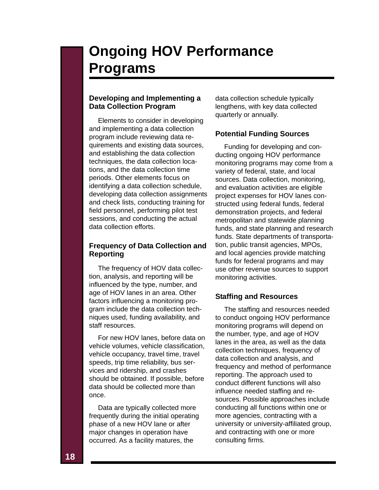## **Ongoing HOV Performance Programs**

#### **Developing and Implementing a Data Collection Program**

Elements to consider in developing and implementing a data collection program include reviewing data requirements and existing data sources, and establishing the data collection techniques, the data collection locations, and the data collection time periods. Other elements focus on identifying a data collection schedule, developing data collection assignments and check lists, conducting training for field personnel, performing pilot test sessions, and conducting the actual data collection efforts.

#### **Frequency of Data Collection and Reporting**

The frequency of HOV data collection, analysis, and reporting will be influenced by the type, number, and age of HOV lanes in an area. Other factors influencing a monitoring program include the data collection techniques used, funding availability, and staff resources.

For new HOV lanes, before data on vehicle volumes, vehicle classification, vehicle occupancy, travel time, travel speeds, trip time reliability, bus services and ridership, and crashes should be obtained. If possible, before data should be collected more than once.

Data are typically collected more frequently during the initial operating phase of a new HOV lane or after major changes in operation have occurred. As a facility matures, the

data collection schedule typically lengthens, with key data collected quarterly or annually.

#### **Potential Funding Sources**

Funding for developing and conducting ongoing HOV performance monitoring programs may come from a variety of federal, state, and local sources. Data collection, monitoring, and evaluation activities are eligible project expenses for HOV lanes constructed using federal funds, federal demonstration projects, and federal metropolitan and statewide planning funds, and state planning and research funds. State departments of transportation, public transit agencies, MPOs, and local agencies provide matching funds for federal programs and may use other revenue sources to support monitoring activities.

#### **Staffing and Resources**

The staffing and resources needed to conduct ongoing HOV performance monitoring programs will depend on the number, type, and age of HOV lanes in the area, as well as the data collection techniques, frequency of data collection and analysis, and frequency and method of performance reporting. The approach used to conduct different functions will also influence needed staffing and resources. Possible approaches include conducting all functions within one or more agencies, contracting with a university or university-affiliated group, and contracting with one or more consulting firms.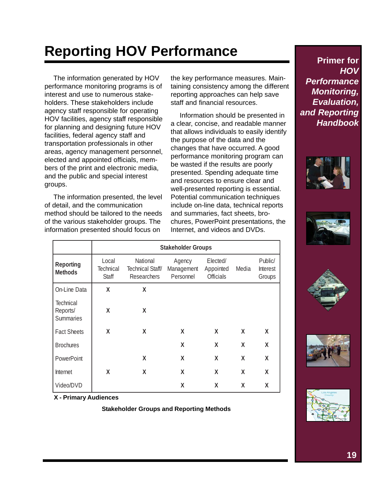# **Reporting HOV Performance**

The information generated by HOV performance monitoring programs is of interest and use to numerous stakeholders. These stakeholders include agency staff responsible for operating HOV facilities, agency staff responsible for planning and designing future HOV facilities, federal agency staff and transportation professionals in other areas, agency management personnel, elected and appointed officials, members of the print and electronic media, and the public and special interest groups.

The information presented, the level of detail, and the communication method should be tailored to the needs of the various stakeholder groups. The information presented should focus on

the key performance measures. Maintaining consistency among the different reporting approaches can help save staff and financial resources.

Information should be presented in a clear, concise, and readable manner that allows individuals to easily identify the purpose of the data and the changes that have occurred. A good performance monitoring program can be wasted if the results are poorly presented. Spending adequate time and resources to ensure clear and well-presented reporting is essential. Potential communication techniques include on-line data, technical reports and summaries, fact sheets, brochures, PowerPoint presentations, the Internet, and videos and DVDs.

|                                           | <b>Stakeholder Groups</b>   |                                                    |                                   |                                           |       |                               |  |
|-------------------------------------------|-----------------------------|----------------------------------------------------|-----------------------------------|-------------------------------------------|-------|-------------------------------|--|
| <b>Reporting</b><br><b>Methods</b>        | Local<br>Technical<br>Staff | National<br>Technical Staff/<br><b>Researchers</b> | Agency<br>Management<br>Personnel | Elected/<br>Appointed<br><b>Officials</b> | Media | Public/<br>Interest<br>Groups |  |
| On-Line Data                              | X                           | X                                                  |                                   |                                           |       |                               |  |
| Technical<br>Reports/<br><b>Summaries</b> | X                           | X                                                  |                                   |                                           |       |                               |  |
| <b>Fact Sheets</b>                        | χ                           | X                                                  | X                                 | X                                         | X     | X                             |  |
| <b>Brochures</b>                          |                             |                                                    | X                                 | X                                         | X     | X                             |  |
| PowerPoint                                |                             | X                                                  | X                                 | X                                         | X     | X                             |  |
| Internet                                  | X                           | χ                                                  | X                                 | X                                         | X     | χ                             |  |
| Video/DVD                                 |                             |                                                    | χ                                 | χ                                         | χ     | X                             |  |

**X - Primary Audiences**

**Stakeholder Groups and Reporting Methods**

![](_page_20_Picture_9.jpeg)

![](_page_20_Picture_10.jpeg)

![](_page_20_Picture_11.jpeg)

![](_page_20_Picture_12.jpeg)

![](_page_20_Picture_13.jpeg)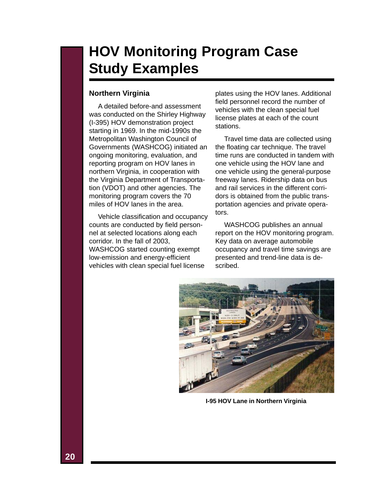### **HOV Monitoring Program Case Study Examples**

#### **Northern Virginia**

A detailed before-and assessment was conducted on the Shirley Highway (I-395) HOV demonstration project starting in 1969. In the mid-1990s the Metropolitan Washington Council of Governments (WASHCOG) initiated an ongoing monitoring, evaluation, and reporting program on HOV lanes in northern Virginia, in cooperation with the Virginia Department of Transportation (VDOT) and other agencies. The monitoring program covers the 70 miles of HOV lanes in the area.

Vehicle classification and occupancy counts are conducted by field personnel at selected locations along each corridor. In the fall of 2003, WASHCOG started counting exempt low-emission and energy-efficient vehicles with clean special fuel license

plates using the HOV lanes. Additional field personnel record the number of vehicles with the clean special fuel license plates at each of the count stations.

Travel time data are collected using the floating car technique. The travel time runs are conducted in tandem with one vehicle using the HOV lane and one vehicle using the general-purpose freeway lanes. Ridership data on bus and rail services in the different corridors is obtained from the public transportation agencies and private operators.

WASHCOG publishes an annual report on the HOV monitoring program. Key data on average automobile occupancy and travel time savings are presented and trend-line data is described.

![](_page_21_Picture_7.jpeg)

**I-95 HOV Lane in Northern Virginia**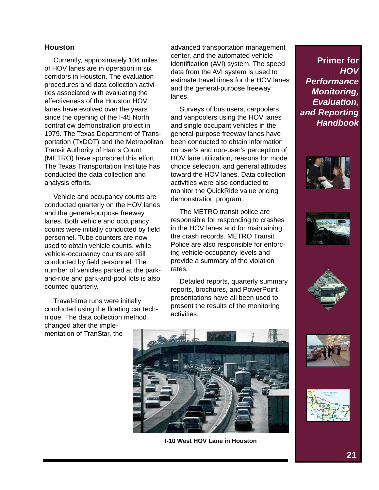#### **Houston**

Currently, approximately 104 miles of HOV lanes are in operation in six corridors in Houston. The evaluation procedures and data collection activities associated with evaluating the effectiveness of the Houston HOV lanes have evolved over the years since the opening of the I-45 North contraflow demonstration project in 1979. The Texas Department of Transportation (TxDOT) and the Metropolitan Transit Authority of Harris Count (METRO) have sponsored this effort. The Texas Transportation Institute has conducted the data collection and analysis efforts.

Vehicle and occupancy counts are conducted quarterly on the HOV lanes and the general-purpose freeway lanes. Both vehicle and occupancy counts were initially conducted by field personnel. Tube counters are now used to obtain vehicle counts, while vehicle-occupancy counts are still conducted by field personnel. The number of vehicles parked at the parkand-ride and park-and-pool lots is also counted quarterly.

Travel-time runs were initially conducted using the floating car technique. The data collection method changed after the implementation of TranStar, the

advanced transportation management center, and the automated vehicle identification (AVI) system. The speed data from the AVI system is used to estimate travel times for the HOV lanes and the general-purpose freeway lanes.

Surveys of bus users, carpoolers, and vanpoolers using the HOV lanes and single occupant vehicles in the general-purpose freeway lanes have been conducted to obtain information on user's and non-user's perception of HOV lane utilization, reasons for mode choice selection, and general attitudes toward the HOV lanes. Data collection activities were also conducted to monitor the QuickRide value pricing demonstration program.

The METRO transit police are responsible for responding to crashes in the HOV lanes and for maintaining the crash records. METRO Transit Police are also responsible for enforcing vehicle-occupancy levels and provide a summary of the violation rates.

Detailed reports, quarterly summary reports, brochures, and PowerPoint presentations have all been used to present the results of the monitoring activities.

![](_page_22_Picture_8.jpeg)

**I-10 West HOV Lane in Houston**

![](_page_22_Picture_11.jpeg)

![](_page_22_Picture_12.jpeg)

![](_page_22_Picture_13.jpeg)

![](_page_22_Picture_14.jpeg)

![](_page_22_Picture_15.jpeg)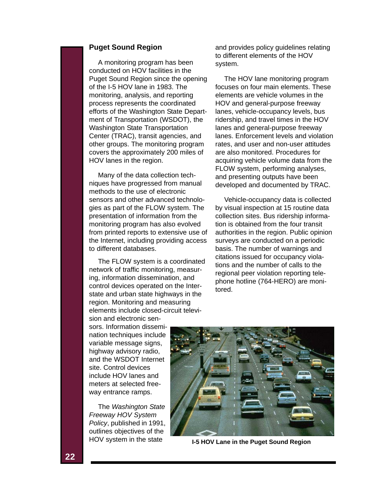#### **Puget Sound Region**

A monitoring program has been conducted on HOV facilities in the Puget Sound Region since the opening of the I-5 HOV lane in 1983. The monitoring, analysis, and reporting process represents the coordinated efforts of the Washington State Department of Transportation (WSDOT), the Washington State Transportation Center (TRAC), transit agencies, and other groups. The monitoring program covers the approximately 200 miles of HOV lanes in the region.

Many of the data collection techniques have progressed from manual methods to the use of electronic sensors and other advanced technologies as part of the FLOW system. The presentation of information from the monitoring program has also evolved from printed reports to extensive use of the Internet, including providing access to different databases.

The FLOW system is a coordinated network of traffic monitoring, measuring, information dissemination, and control devices operated on the Interstate and urban state highways in the region. Monitoring and measuring elements include closed-circuit televi-

and provides policy guidelines relating to different elements of the HOV system.

The HOV lane monitoring program focuses on four main elements. These elements are vehicle volumes in the HOV and general-purpose freeway lanes, vehicle-occupancy levels, bus ridership, and travel times in the HOV lanes and general-purpose freeway lanes. Enforcement levels and violation rates, and user and non-user attitudes are also monitored. Procedures for acquiring vehicle volume data from the FLOW system, performing analyses, and presenting outputs have been developed and documented by TRAC.

Vehicle-occupancy data is collected by visual inspection at 15 routine data collection sites. Bus ridership information is obtained from the four transit authorities in the region. Public opinion surveys are conducted on a periodic basis. The number of warnings and citations issued for occupancy violations and the number of calls to the regional peer violation reporting telephone hotline (764-HERO) are monitored.

sion and electronic sensors. Information dissemination techniques include variable message signs, highway advisory radio, and the WSDOT Internet site. Control devices include HOV lanes and meters at selected freeway entrance ramps.

The *Washington State Freeway HOV System Policy*, published in 1991, outlines objectives of the HOV system in the state

![](_page_23_Picture_9.jpeg)

**I-5 HOV Lane in the Puget Sound Region**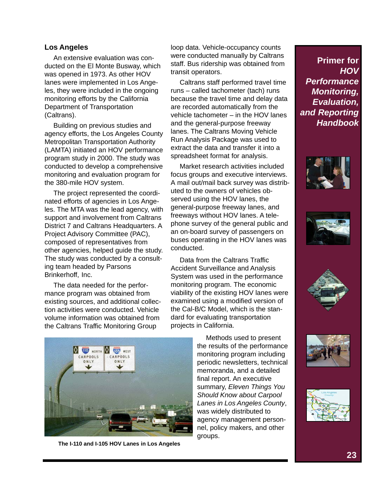#### **Los Angeles**

An extensive evaluation was conducted on the El Monte Busway, which was opened in 1973. As other HOV lanes were implemented in Los Angeles, they were included in the ongoing monitoring efforts by the California Department of Transportation (Caltrans).

Building on previous studies and agency efforts, the Los Angeles County Metropolitan Transportation Authority (LAMTA) initiated an HOV performance program study in 2000. The study was conducted to develop a comprehensive monitoring and evaluation program for the 380-mile HOV system.

The project represented the coordinated efforts of agencies in Los Angeles. The MTA was the lead agency, with support and involvement from Caltrans District 7 and Caltrans Headquarters. A Project Advisory Committee (PAC), composed of representatives from other agencies, helped guide the study. The study was conducted by a consulting team headed by Parsons Brinkerhoff, Inc.

The data needed for the performance program was obtained from existing sources, and additional collection activities were conducted. Vehicle volume information was obtained from the Caltrans Traffic Monitoring Group

**Q 110** NORTH Q 105 WEST CARPOOLS CARPOOLS ONLY ONLY

**The I-110 and I-105 HOV Lanes in Los Angeles**

loop data. Vehicle-occupancy counts were conducted manually by Caltrans staff. Bus ridership was obtained from transit operators.

Caltrans staff performed travel time runs – called tachometer (tach) runs because the travel time and delay data are recorded automatically from the vehicle tachometer – in the HOV lanes and the general-purpose freeway lanes. The Caltrans Moving Vehicle Run Analysis Package was used to extract the data and transfer it into a spreadsheet format for analysis.

Market research activities included focus groups and executive interviews. A mail out/mail back survey was distributed to the owners of vehicles observed using the HOV lanes, the general-purpose freeway lanes, and freeways without HOV lanes. A telephone survey of the general public and an on-board survey of passengers on buses operating in the HOV lanes was conducted.

Data from the Caltrans Traffic Accident Surveillance and Analysis System was used in the performance monitoring program. The economic viability of the existing HOV lanes were examined using a modified version of the Cal-B/C Model, which is the standard for evaluating transportation projects in California.

> Methods used to present the results of the performance monitoring program including periodic newsletters, technical memoranda, and a detailed final report. An executive summary, *Eleven Things You Should Know about Carpool Lanes in Los Angeles County*, was widely distributed to agency management personnel, policy makers, and other groups.

![](_page_24_Picture_13.jpeg)

![](_page_24_Picture_14.jpeg)

![](_page_24_Picture_15.jpeg)

![](_page_24_Picture_16.jpeg)

![](_page_24_Picture_17.jpeg)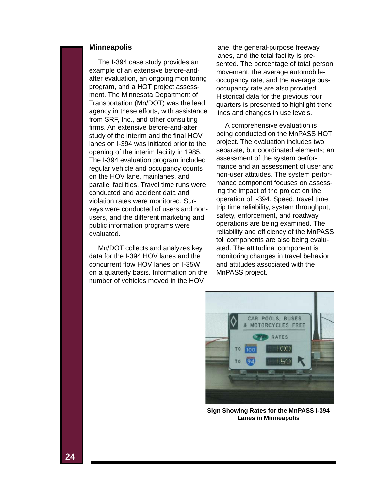#### **Minneapolis**

The I-394 case study provides an example of an extensive before-andafter evaluation, an ongoing monitoring program, and a HOT project assessment. The Minnesota Department of Transportation (Mn/DOT) was the lead agency in these efforts, with assistance from SRF, Inc., and other consulting firms. An extensive before-and-after study of the interim and the final HOV lanes on I-394 was initiated prior to the opening of the interim facility in 1985. The I-394 evaluation program included regular vehicle and occupancy counts on the HOV lane, mainlanes, and parallel facilities. Travel time runs were conducted and accident data and violation rates were monitored. Surveys were conducted of users and nonusers, and the different marketing and public information programs were evaluated.

Mn/DOT collects and analyzes key data for the I-394 HOV lanes and the concurrent flow HOV lanes on I-35W on a quarterly basis. Information on the number of vehicles moved in the HOV

lane, the general-purpose freeway lanes, and the total facility is presented. The percentage of total person movement, the average automobileoccupancy rate, and the average busoccupancy rate are also provided. Historical data for the previous four quarters is presented to highlight trend lines and changes in use levels.

A comprehensive evaluation is being conducted on the MnPASS HOT project. The evaluation includes two separate, but coordinated elements; an assessment of the system performance and an assessment of user and non-user attitudes. The system performance component focuses on assessing the impact of the project on the operation of I-394. Speed, travel time, trip time reliability, system throughput, safety, enforcement, and roadway operations are being examined. The reliability and efficiency of the MnPASS toll components are also being evaluated. The attitudinal component is monitoring changes in travel behavior and attitudes associated with the MnPASS project.

![](_page_25_Picture_5.jpeg)

**Sign Showing Rates for the MnPASS I-394 Lanes in Minneapolis**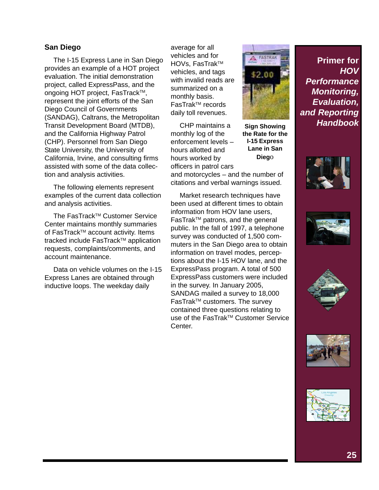#### **San Diego**

The I-15 Express Lane in San Diego provides an example of a HOT project evaluation. The initial demonstration project, called ExpressPass, and the ongoing HOT project, FasTrack™, represent the joint efforts of the San Diego Council of Governments (SANDAG), Caltrans, the Metropolitan Transit Development Board (MTDB), and the California Highway Patrol (CHP). Personnel from San Diego State University, the University of California, Irvine, and consulting firms assisted with some of the data collection and analysis activities.

The following elements represent examples of the current data collection and analysis activities.

The FasTrack™ Customer Service Center maintains monthly summaries of FasTrack™ account activity. Items tracked include FasTrack™ application requests, complaints/comments, and account maintenance.

Data on vehicle volumes on the I-15 Express Lanes are obtained through inductive loops. The weekday daily

average for all vehicles and for HOVs, FasTrak<sup>™</sup> vehicles, and tags with invalid reads are summarized on a monthly basis. FasTrak<sup>™</sup> records daily toll revenues.

**Dieg**o CHP maintains a monthly log of the enforcement levels – hours allotted and hours worked by officers in patrol cars and motorcycles – and the number of citations and verbal warnings issued.

Market research techniques have been used at different times to obtain information from HOV lane users. FasTrak<sup>™</sup> patrons, and the general public. In the fall of 1997, a telephone survey was conducted of 1,500 commuters in the San Diego area to obtain information on travel modes, perceptions about the I-15 HOV lane, and the ExpressPass program. A total of 500 ExpressPass customers were included in the survey. In January 2005, SANDAG mailed a survey to 18,000 FasTrak<sup>™</sup> customers. The survey contained three questions relating to use of the FasTrak™ Customer Service Center.

![](_page_26_Picture_8.jpeg)

**Sign Showing the Rate for the I-15 Express Lane in San**

![](_page_26_Picture_10.jpeg)

**Primer for**

*Handbook*

*Performance Monitoring, Evaluation, and Reporting*

*HOV*

![](_page_26_Picture_11.jpeg)

![](_page_26_Picture_12.jpeg)

![](_page_26_Picture_13.jpeg)

![](_page_26_Picture_14.jpeg)